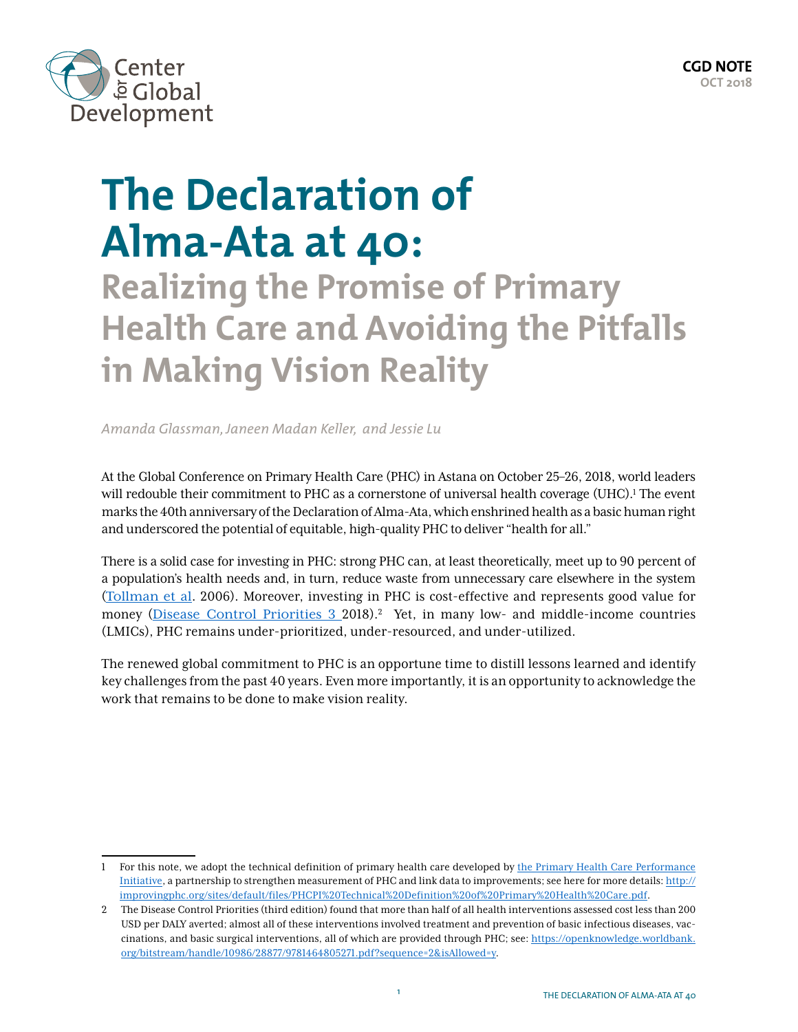

# **The Declaration of Alma-Ata at 40:**

**Realizing the Promise of Primary Health Care and Avoiding the Pitfalls in Making Vision Reality**

*Amanda Glassman, Janeen Madan Keller, and Jessie Lu*

At the Global Conference on Primary Health Care (PHC) in Astana on October 25–26, 2018, world leaders will redouble their commitment to PHC as a cornerstone of universal health coverage (UHC).<sup>1</sup> The event marks the 40th anniversary of the Declaration of Alma-Ata, which enshrined health as a basic human right and underscored the potential of equitable, high-quality PHC to deliver "health for all."

There is a solid case for investing in PHC: strong PHC can, at least theoretically, meet up to 90 percent of a population's health needs and, in turn, reduce waste from unnecessary care elsewhere in the system (Tollman et al. 2006). Moreover, investing in PHC is cost-effective and represents good value for money ([Disease Control Priorities 3](https://openknowledge.worldbank.org/bitstream/handle/10986/28877/9781464805271.pdf?sequence=2&isAllowed=y) 2018).<sup>2</sup> Yet, in many low- and middle-income countries (LMICs), PHC remains under-prioritized, under-resourced, and under-utilized.

The renewed global commitment to PHC is an opportune time to distill lessons learned and identify key challenges from the past 40 years. Even more importantly, it is an opportunity to acknowledge the work that remains to be done to make vision reality.

<sup>1</sup> For this note, we adopt the technical definition of primary health care developed by the Primary Health Care Performance [Initiative,](https://improvingphc.org/) a partnership to strengthen measurement of PHC and link data to improvements; see here for more details: [http://](http://improvingphc.org/sites/default/files/PHCPI%20Technical%20Definition%20of%20Primary%20Health%20Care.pdf) [improvingphc.org/sites/default/files/PHCPI%20Technical%20Definition%20of%20Primary%20Health%20Care.pdf.](http://improvingphc.org/sites/default/files/PHCPI%20Technical%20Definition%20of%20Primary%20Health%20Care.pdf)

<sup>2</sup> The Disease Control Priorities (third edition) found that more than half of all health interventions assessed cost less than 200 USD per DALY averted; almost all of these interventions involved treatment and prevention of basic infectious diseases, vaccinations, and basic surgical interventions, all of which are provided through PHC; see: [https://openknowledge.worldbank.](https://openknowledge.worldbank.org/bitstream/handle/10986/28877/9781464805271.pdf?sequence=2&isAllowed=y) [org/bitstream/handle/10986/28877/9781464805271.pdf?sequence=2&isAllowed=y.](https://openknowledge.worldbank.org/bitstream/handle/10986/28877/9781464805271.pdf?sequence=2&isAllowed=y)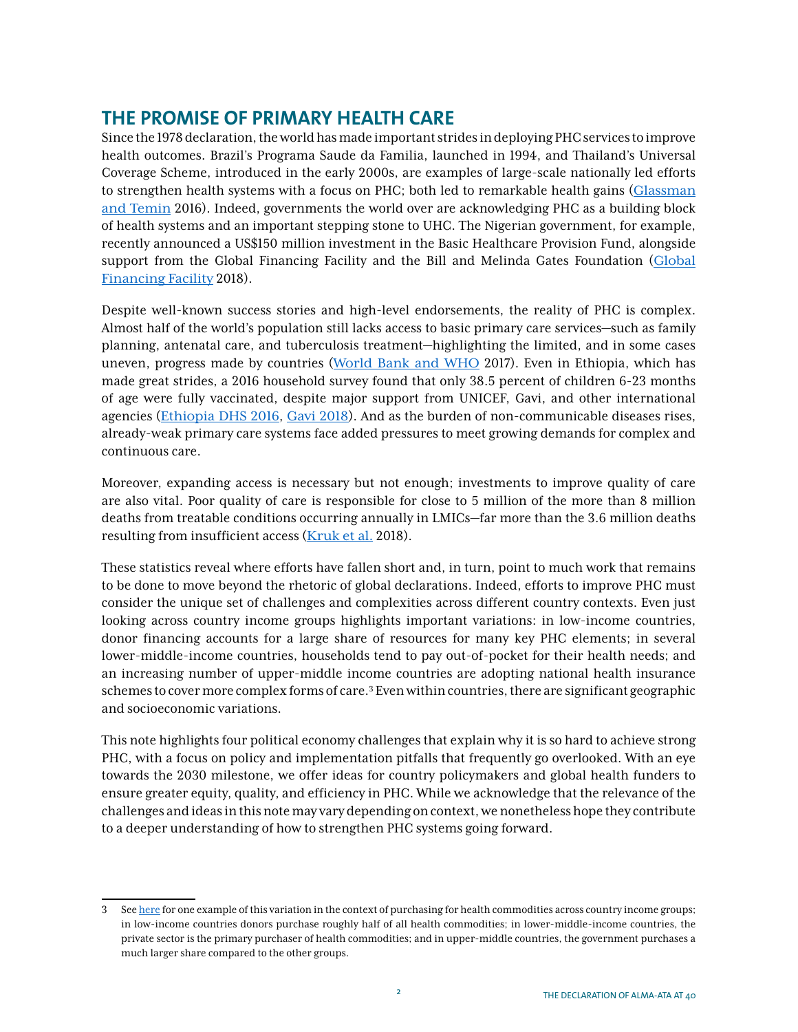## **THE PROMISE OF PRIMARY HEALTH CARE**

Since the 1978 declaration, the world has made important strides in deploying PHC services to improve health outcomes. Brazil's Programa Saude da Familia, launched in 1994, and Thailand's Universal Coverage Scheme, introduced in the early 2000s, are examples of large-scale nationally led efforts to strengthen health systems with a focus on PHC; both led to remarkable health gains ([Glassman](http://millionssaved.cgdev.org/) [and Temin](http://millionssaved.cgdev.org/) 2016). Indeed, governments the world over are acknowledging PHC as a building block of health systems and an important stepping stone to UHC. The Nigerian government, for example, recently announced a US\$150 million investment in the Basic Healthcare Provision Fund, alongside support from the Global Financing Facility and the Bill and Melinda Gates Foundation ([Global](https://www.globalfinancingfacility.org/government-nigeria-global-financing-facility-and-partners-co-finance-effort-improve-health-and)  [Financing Facility](https://www.globalfinancingfacility.org/government-nigeria-global-financing-facility-and-partners-co-finance-effort-improve-health-and) 2018).

Despite well-known success stories and high-level endorsements, the reality of PHC is complex. Almost half of the world's population still lacks access to basic primary care services—such as family planning, antenatal care, and tuberculosis treatment—highlighting the limited, and in some cases uneven, progress made by countries ([World Bank and WHO](http://www.worldbank.org/en/news/press-release/2017/12/13/world-bank-who-half-world-lacks-access-to-essential-health-services-100-million-still-pushed-into-extreme-poverty-because-of-health-expenses) 2017). Even in Ethiopia, which has made great strides, a 2016 household survey found that only 38.5 percent of children 6-23 months of age were fully vaccinated, despite major support from UNICEF, Gavi, and other international agencies ([Ethiopia DHS 2016](https://dhsprogram.com/publications/publication-FR328-DHS-Final-Reports.cfm), [Gavi 2018](https://www.gavi.org/country/fact-sheets/ethiopia.pdf)). And as the burden of non-communicable diseases rises, already-weak primary care systems face added pressures to meet growing demands for complex and continuous care.

Moreover, expanding access is necessary but not enough; investments to improve quality of care are also vital. Poor quality of care is responsible for close to 5 million of the more than 8 million deaths from treatable conditions occurring annually in LMICs—far more than the 3.6 million deaths resulting from insufficient access ([Kruk et al.](https://www.thelancet.com/action/showPdf?pii=S0140-6736%2818%2931668-4) 2018).

These statistics reveal where efforts have fallen short and, in turn, point to much work that remains to be done to move beyond the rhetoric of global declarations. Indeed, efforts to improve PHC must consider the unique set of challenges and complexities across different country contexts. Even just looking across country income groups highlights important variations: in low-income countries, donor financing accounts for a large share of resources for many key PHC elements; in several lower-middle-income countries, households tend to pay out-of-pocket for their health needs; and an increasing number of upper-middle income countries are adopting national health insurance schemes to cover more complex forms of care.3 Even within countries, there are significant geographic and socioeconomic variations.

This note highlights four political economy challenges that explain why it is so hard to achieve strong PHC, with a focus on policy and implementation pitfalls that frequently go overlooked. With an eye towards the 2030 milestone, we offer ideas for country policymakers and global health funders to ensure greater equity, quality, and efficiency in PHC. While we acknowledge that the relevance of the challenges and ideas in this note may vary depending on context, we nonetheless hope they contribute to a deeper understanding of how to strengthen PHC systems going forward.

<sup>3</sup> See [here](https://www.cgdev.org/publication/initial-estimation-size-health-commodity-markets-low-and-middle-income-countries) for one example of this variation in the context of purchasing for health commodities across country income groups; in low-income countries donors purchase roughly half of all health commodities; in lower-middle-income countries, the private sector is the primary purchaser of health commodities; and in upper-middle countries, the government purchases a much larger share compared to the other groups.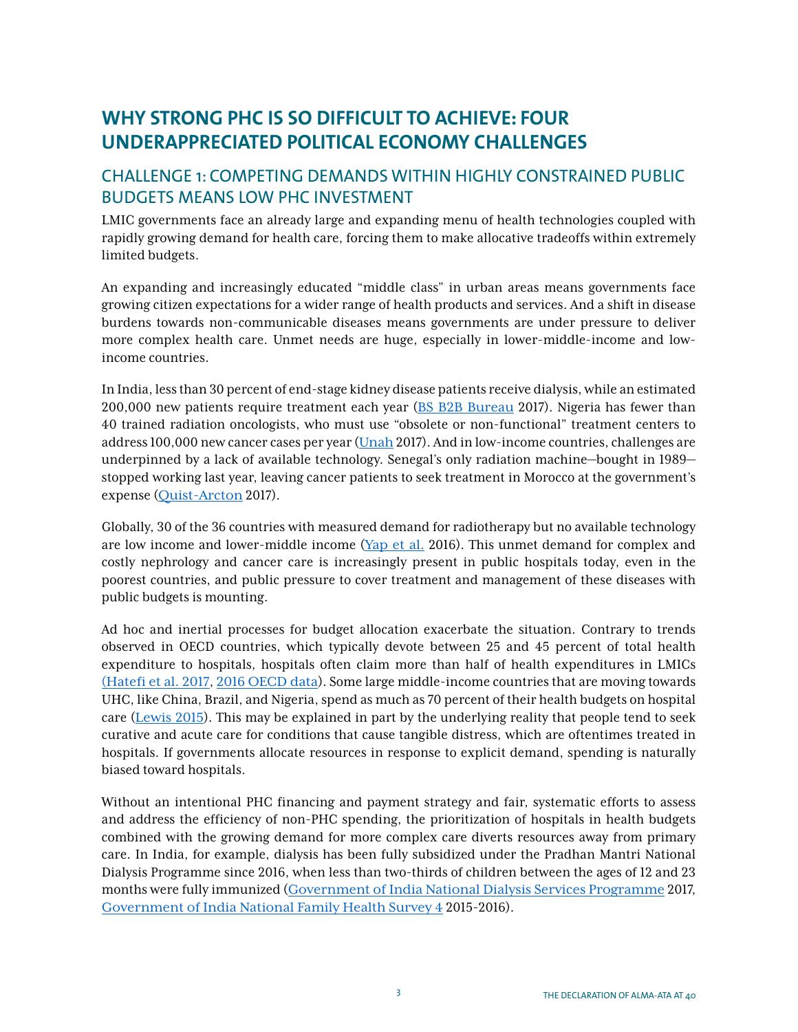# **WHY STRONG PHC IS SO DIFFICULT TO ACHIEVE: FOUR UNDERAPPRECIATED POLITICAL ECONOMY CHALLENGES**

## CHALLENGE 1: COMPETING DEMANDS WITHIN HIGHLY CONSTRAINED PUBLIC BUDGETS MEANS LOW PHC INVESTMENT

LMIC governments face an already large and expanding menu of health technologies coupled with rapidly growing demand for health care, forcing them to make allocative tradeoffs within extremely limited budgets.

An expanding and increasingly educated "middle class" in urban areas means governments face growing citizen expectations for a wider range of health products and services. And a shift in disease burdens towards non-communicable diseases means governments are under pressure to deliver more complex health care. Unmet needs are huge, especially in lower-middle-income and lowincome countries.

In India, less than 30 percent of end-stage kidney disease patients receive dialysis, while an estimated 200,000 new patients require treatment each year ([BS B2B Bureau](https://www.business-standard.com/content/b2b-pharma/less-than-30-of-kidney-patients-manage-to-get-dialysis-in-india-study-117022800641_1.html) 2017). Nigeria has fewer than 40 trained radiation oncologists, who must use "obsolete or non-functional" treatment centers to address 100,000 new cancer cases per year ([Unah](https://www.theguardian.com/global-development-professionals-network/2017/mar/20/nigeria-cancer-mortality-rate-addressed-ngo) 2017). And in low-income countries, challenges are underpinned by a lack of available technology. Senegal's only radiation machine—bought in 1989 stopped working last year, leaving cancer patients to seek treatment in Morocco at the government's expense ([Quist-Arcton](http://www.npr.org/sections/goatsandsoda/2017/07/09/524534109/a-country-where-it-can-be-tough-to-get-cancer-treatment) 2017).

Globally, 30 of the 36 countries with measured demand for radiotherapy but no available technology are low income and lower-middle income  $(Yap et al. 2016)$  $(Yap et al. 2016)$  $(Yap et al. 2016)$ . This unmet demand for complex and costly nephrology and cancer care is increasingly present in public hospitals today, even in the poorest countries, and public pressure to cover treatment and management of these diseases with public budgets is mounting.

Ad hoc and inertial processes for budget allocation exacerbate the situation. Contrary to trends observed in OECD countries, which typically devote between 25 and 45 percent of total health expenditure to hospitals, hospitals often claim more than half of health expenditures in LMICs [\(Hatefi et al. 2017](https://www.healthaffairs.org/do/10.1377/hblog20170216.058672/full/), [2016 OECD data](https://stats.oecd.org/index.aspx?DataSetCode=HEALTH_STAT)). Some large middle-income countries that are moving towards UHC, like China, Brazil, and Nigeria, spend as much as 70 percent of their health budgets on hospital care ([Lewis 2015](https://www.cgdev.org/blog/hospitals-are-key-reaching-universal-health-coverage)). This may be explained in part by the underlying reality that people tend to seek curative and acute care for conditions that cause tangible distress, which are oftentimes treated in hospitals. If governments allocate resources in response to explicit demand, spending is naturally biased toward hospitals.

Without an intentional PHC financing and payment strategy and fair, systematic efforts to assess and address the efficiency of non-PHC spending, the prioritization of hospitals in health budgets combined with the growing demand for more complex care diverts resources away from primary care. In India, for example, dialysis has been fully subsidized under the Pradhan Mantri National Dialysis Programme since 2016, when less than two-thirds of children between the ages of 12 and 23 months were fully immunized ([Government of India National Dialysis Services Programme](http://pib.nic.in/newsite/PrintRelease.aspx?relid=157978) 2017, [Government of India National Family Health Survey 4](http://rchiips.org/nfhs/pdf/NFHS4/India.pdf) 2015-2016).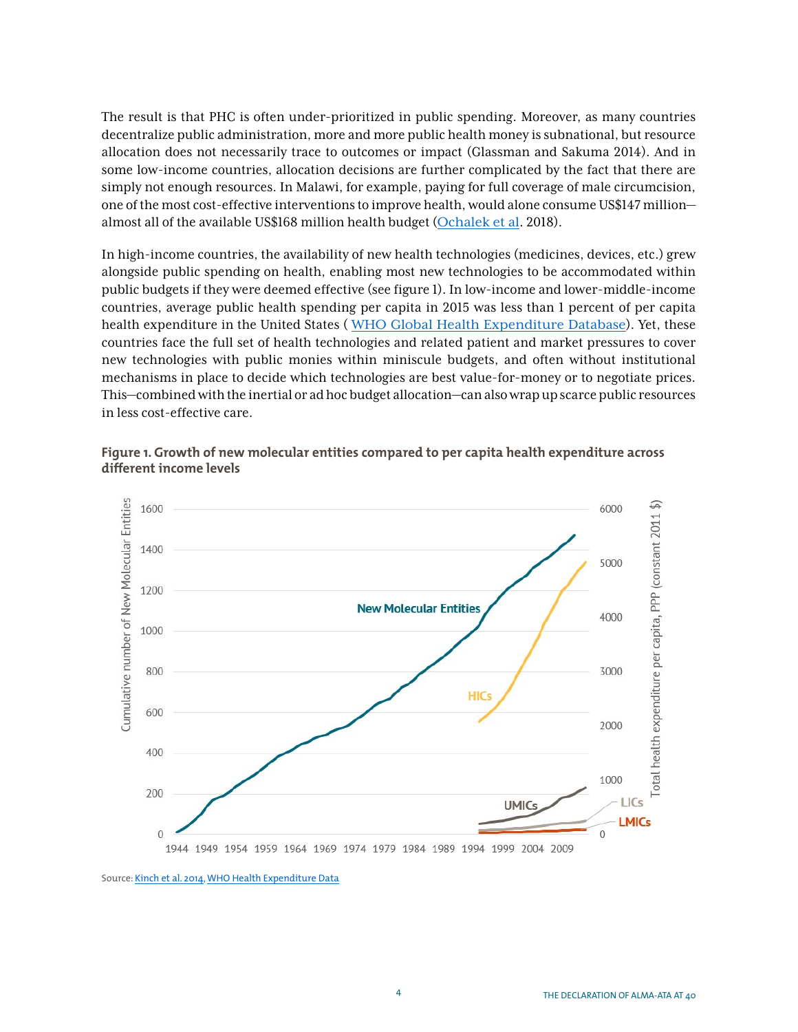The result is that PHC is often under-prioritized in public spending. Moreover, as many countries decentralize public administration, more and more public health money is subnational, but resource allocation does not necessarily trace to outcomes or impact ([Glassman and Sakuma](https://www.cgdev.org/sites/default/files/CGD-Consultation-Draft-Glassman-Sakuma-IGFT-Health.pdf) 2014). And in some low-income countries, allocation decisions are further complicated by the fact that there are simply not enough resources. In Malawi, for example, paying for full coverage of male circumcision, one of the most cost-effective interventions to improve health, would alone consume US\$147 million almost all of the available US\$168 million health budget ([Ochalek et al](https://gh.bmj.com/content/3/2/e000607). 2018).

In high-income countries, the availability of new health technologies (medicines, devices, etc.) grew alongside public spending on health, enabling most new technologies to be accommodated within public budgets if they were deemed effective (see figure 1). In low-income and lower-middle-income countries, average public health spending per capita in 2015 was less than 1 percent of per capita health expenditure in the United States ( [WHO Global Health Expenditure Database](http://apps.who.int/nha/database)). Yet, these countries face the full set of health technologies and related patient and market pressures to cover new technologies with public monies within miniscule budgets, and often without institutional mechanisms in place to decide which technologies are best value-for-money or to negotiate prices. This—combined with the inertial or ad hoc budget allocation—can also wrap up scarce public resources in less cost-effective care.



**Figure 1. Growth of new molecular entities compared to per capita health expenditure across different income levels** 

Source: [Kinch et al. 2014](https://www.sciencedirect.com/science/article/pii/S1359644614001032?via%3Dihub), [WHO Health Expenditure Data](http://apps.who.int/nha/database)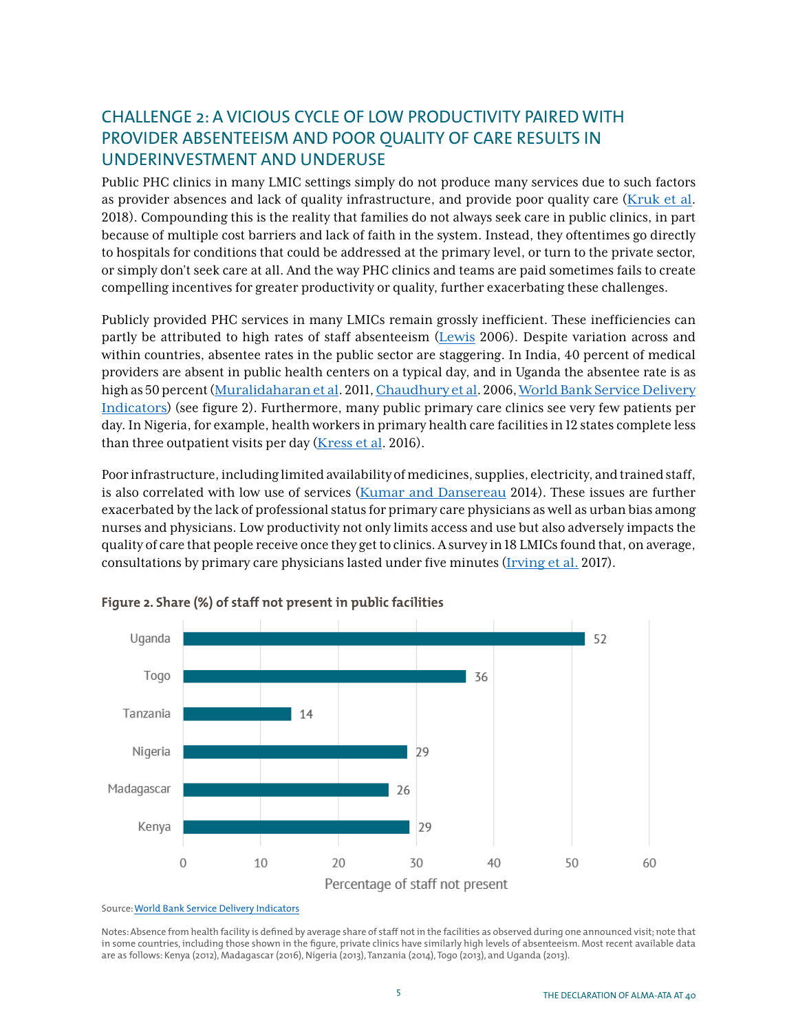## CHALLENGE 2: A VICIOUS CYCLE OF LOW PRODUCTIVITY PAIRED WITH PROVIDER ABSENTEEISM AND POOR QUALITY OF CARE RESULTS IN UNDERINVESTMENT AND UNDERUSE

Public PHC clinics in many LMIC settings simply do not produce many services due to such factors as provider absences and lack of quality infrastructure, and provide poor quality care ( $Kruk$  et al. 2018). Compounding this is the reality that families do not always seek care in public clinics, in part because of multiple cost barriers and lack of faith in the system. Instead, they oftentimes go directly to hospitals for conditions that could be addressed at the primary level, or turn to the private sector, or simply don't seek care at all. And the way PHC clinics and teams are paid sometimes fails to create compelling incentives for greater productivity or quality, further exacerbating these challenges.

Publicly provided PHC services in many LMICs remain grossly inefficient. These inefficiencies can partly be attributed to high rates of staff absenteeism ([Lewis](https://papers.ssrn.com/sol3/papers.cfm?abstract_id=984046) 2006). Despite variation across and within countries, absentee rates in the public sector are staggering. In India, 40 percent of medical providers are absent in public health centers on a typical day, and in Uganda the absentee rate is as high as 50 percent ([Muralidaharan et al](http://econweb.ucsd.edu/~kamurali/papers/Working%20Papers/Is%20There%20a%20Doctor%20in%20the%20House%20-%2012%20April,%202011.pdf). 2011, [Chaudhury et al](https://www.aeaweb.org/articles?id=10.1257/089533006776526058). 2006, [World Bank Service Delivery](http://databank.worldbank.org/data/source/service-delivery-indicators)  [Indicators](http://databank.worldbank.org/data/source/service-delivery-indicators)) (see figure 2). Furthermore, many public primary care clinics see very few patients per day. In Nigeria, for example, health workers in primary health care facilities in 12 states complete less than three outpatient visits per day ([Kress et al](https://www.tandfonline.com/doi/full/10.1080/23288604.2016.1234861). 2016).

Poor infrastructure, including limited availability of medicines, supplies, electricity, and trained staff, is also correlated with low use of services ([Kumar and Dansereau](https://journals.plos.org/plosone/article?id=10.1371/journal.pone.0103927) 2014). These issues are further exacerbated by the lack of professional status for primary care physicians as well as urban bias among nurses and physicians. Low productivity not only limits access and use but also adversely impacts the quality of care that people receive once they get to clinics. A survey in 18 LMICs found that, on average, consultations by primary care physicians lasted under five minutes ([Irving et al.](https://bmjopen.bmj.com/content/7/10/e017902) 2017).



#### **Figure 2. Share (%) of staff not present in public facilities**

Notes: Absence from health facility is defined by average share of staff not in the facilities as observed during one announced visit; note that in some countries, including those shown in the figure, private clinics have similarly high levels of absenteeism. Most recent available data are as follows: Kenya (2012), Madagascar (2016), Nigeria (2013), Tanzania (2014), Togo (2013), and Uganda (2013).

Source: [World Bank Service Delivery Indicators](http://databank.worldbank.org/data/source/service-delivery-indicators)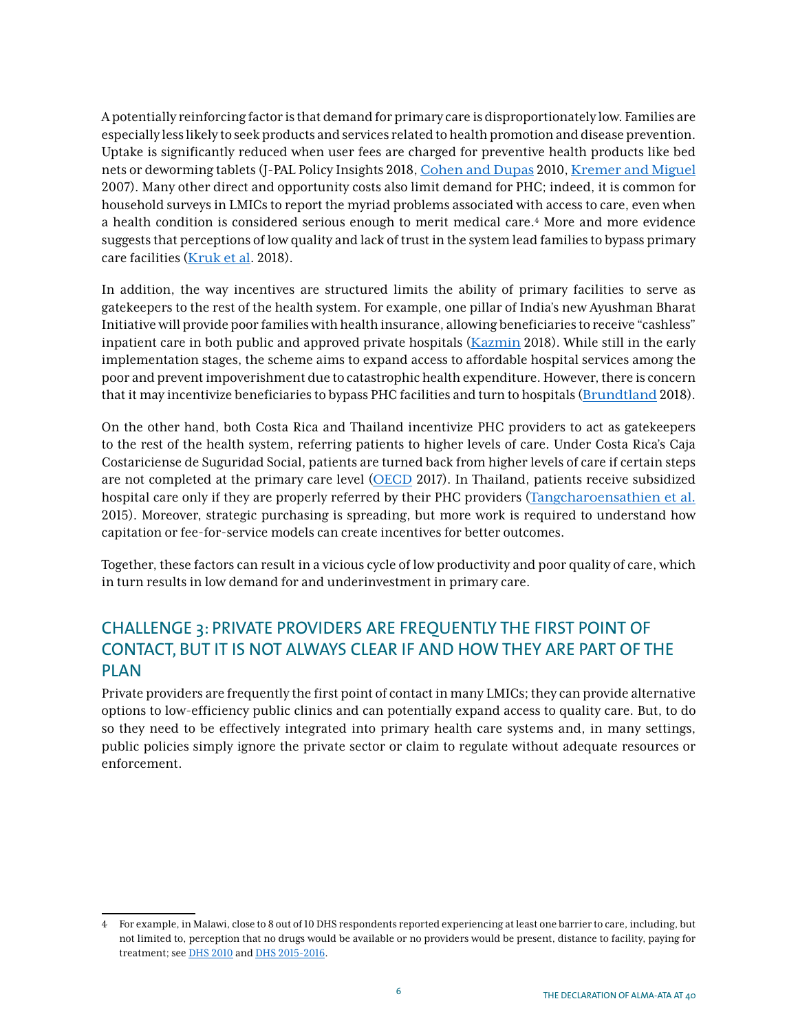A potentially reinforcing factor is that demand for primary care is disproportionately low. Families are especially less likely to seek products and services related to health promotion and disease prevention. Uptake is significantly reduced when user fees are charged for preventive health products like bed nets or deworming tablets [\(J-PAL Policy Insights](https://www.povertyactionlab.org/policy-insight/impact-price-take-and-use-preventive-health-products) 2018, [Cohen and Dupas](https://doi.org/10.1162/qjec.2010.125.1.1) 2010, [Kremer and Miguel](https://doi.org/10.1162/qjec.122.3.1007) 2007). Many other direct and opportunity costs also limit demand for PHC; indeed, it is common for household surveys in LMICs to report the myriad problems associated with access to care, even when a health condition is considered serious enough to merit medical care.4 More and more evidence suggests that perceptions of low quality and lack of trust in the system lead families to bypass primary care facilities ([Kruk et al](https://doi.org/10.1016/S0140-6736(18)31668-4). 2018).

In addition, the way incentives are structured limits the ability of primary facilities to serve as gatekeepers to the rest of the health system. For example, one pillar of India's new Ayushman Bharat Initiative will provide poor families with health insurance, allowing beneficiaries to receive "cashless" inpatient care in both public and approved private hospitals ([Kazmin](https://www.ft.com/content/d13af884-a046-11e8-85da-eeb7a9ce36e4) 2018). While still in the early implementation stages, the scheme aims to expand access to affordable hospital services among the poor and prevent impoverishment due to catastrophic health expenditure. However, there is concern that it may incentivize beneficiaries to bypass PHC facilities and turn to hospitals ([Brundtland](https://doi.org/10.1016/S0140-6736(18)32387-0) 2018).

On the other hand, both Costa Rica and Thailand incentivize PHC providers to act as gatekeepers to the rest of the health system, referring patients to higher levels of care. Under Costa Rica's Caja Costariciense de Suguridad Social, patients are turned back from higher levels of care if certain steps are not completed at the primary care level (OECD 2017). In Thailand, patients receive subsidized hospital care only if they are properly referred by their PHC providers ([Tangcharoensathien et al.](https://www.ncbi.nlm.nih.gov/pubmed/25378527) 2015). Moreover, strategic purchasing is spreading, but more work is required to understand how capitation or fee-for-service models can create incentives for better outcomes.

Together, these factors can result in a vicious cycle of low productivity and poor quality of care, which in turn results in low demand for and underinvestment in primary care.

## CHALLENGE 3: PRIVATE PROVIDERS ARE FREQUENTLY THE FIRST POINT OF CONTACT, BUT IT IS NOT ALWAYS CLEAR IF AND HOW THEY ARE PART OF THE PLAN

Private providers are frequently the first point of contact in many LMICs; they can provide alternative options to low-efficiency public clinics and can potentially expand access to quality care. But, to do so they need to be effectively integrated into primary health care systems and, in many settings, public policies simply ignore the private sector or claim to regulate without adequate resources or enforcement.

<sup>4</sup> For example, in Malawi, close to 8 out of 10 DHS respondents reported experiencing at least one barrier to care, including, but not limited to, perception that no drugs would be available or no providers would be present, distance to facility, paying for treatment; see [DHS 2010](https://dhsprogram.com/pubs/pdf/fr247/fr247.pdf) and [DHS 2015-2016](https://dhsprogram.com/publications/publication-FR319-DHS-Final-Reports.cfm).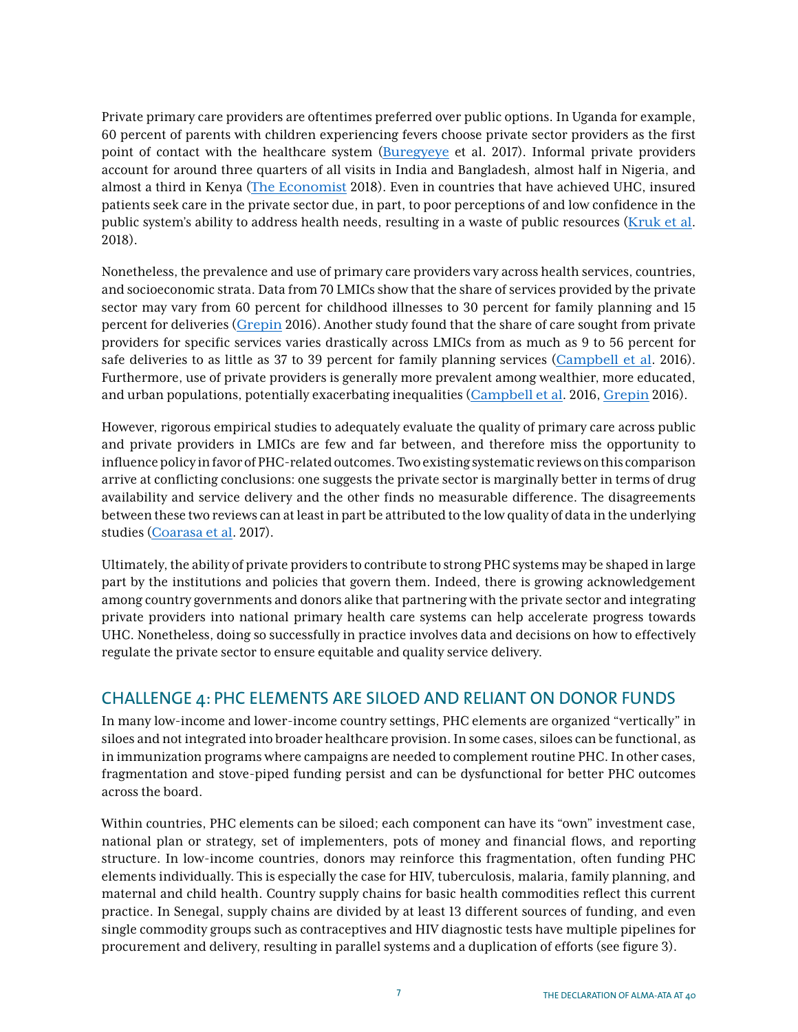Private primary care providers are oftentimes preferred over public options. In Uganda for example, 60 percent of parents with children experiencing fevers choose private sector providers as the first point of contact with the healthcare system ([Buregyeye](https://malariajournal.biomedcentral.com/track/pdf/10.1186/s12936-017-1842-8) et al. 2017). Informal private providers account for around three quarters of all visits in India and Bangladesh, almost half in Nigeria, and almost a third in Kenya ([The Economist](https://www.economist.com/special-report/2018/04/26/the-importance-of-primary-care) 2018). Even in countries that have achieved UHC, insured patients seek care in the private sector due, in part, to poor perceptions of and low confidence in the public system's ability to address health needs, resulting in a waste of public resources ([Kruk et al](https://doi.org/10.1016/S0140-6736(18)31668-4). 2018).

Nonetheless, the prevalence and use of primary care providers vary across health services, countries, and socioeconomic strata. Data from 70 LMICs show that the share of services provided by the private sector may vary from 60 percent for childhood illnesses to 30 percent for family planning and 15 percent for deliveries ([Grepin](https://doi.org/10.1377/hlthaff.2015.0862) 2016). Another study found that the share of care sought from private providers for specific services varies drastically across LMICs from as much as 9 to 56 percent for safe deliveries to as little as 37 to 39 percent for family planning services ([Campbell et al](https://doi.org/10.1016/S0140-6736(16)31528-8). 2016). Furthermore, use of private providers is generally more prevalent among wealthier, more educated, and urban populations, potentially exacerbating inequalities ([Campbell et al](https://doi.org/10.1016/S0140-6736(16)31528-8). 2016, [Grepin](https://doi.org/10.1377/hlthaff.2015.0862) 2016).

However, rigorous empirical studies to adequately evaluate the quality of primary care across public and private providers in LMICs are few and far between, and therefore miss the opportunity to influence policy in favor of PHC-related outcomes. Two existing systematic reviews on this comparison arrive at conflicting conclusions: one suggests the private sector is marginally better in terms of drug availability and service delivery and the other finds no measurable difference. The disagreements between these two reviews can at least in part be attributed to the low quality of data in the underlying studies ([Coarasa et al](https://doi.org/10.1186/s12992-017-0246-4). 2017).

Ultimately, the ability of private providers to contribute to strong PHC systems may be shaped in large part by the institutions and policies that govern them. Indeed, there is growing acknowledgement among country governments and donors alike that partnering with the private sector and integrating private providers into national primary health care systems can help accelerate progress towards UHC. Nonetheless, doing so successfully in practice involves data and decisions on how to effectively regulate the private sector to ensure equitable and quality service delivery.

## CHALLENGE 4: PHC ELEMENTS ARE SILOED AND RELIANT ON DONOR FUNDS

In many low-income and lower-income country settings, PHC elements are organized "vertically" in siloes and not integrated into broader healthcare provision. In some cases, siloes can be functional, as in immunization programs where campaigns are needed to complement routine PHC. In other cases, fragmentation and stove-piped funding persist and can be dysfunctional for better PHC outcomes across the board.

Within countries, PHC elements can be siloed; each component can have its "own" investment case, national plan or strategy, set of implementers, pots of money and financial flows, and reporting structure. In low-income countries, donors may reinforce this fragmentation, often funding PHC elements individually. This is especially the case for HIV, tuberculosis, malaria, family planning, and maternal and child health. Country supply chains for basic health commodities reflect this current practice. In Senegal, supply chains are divided by at least 13 different sources of funding, and even single commodity groups such as contraceptives and HIV diagnostic tests have multiple pipelines for procurement and delivery, resulting in parallel systems and a duplication of efforts (see figure 3).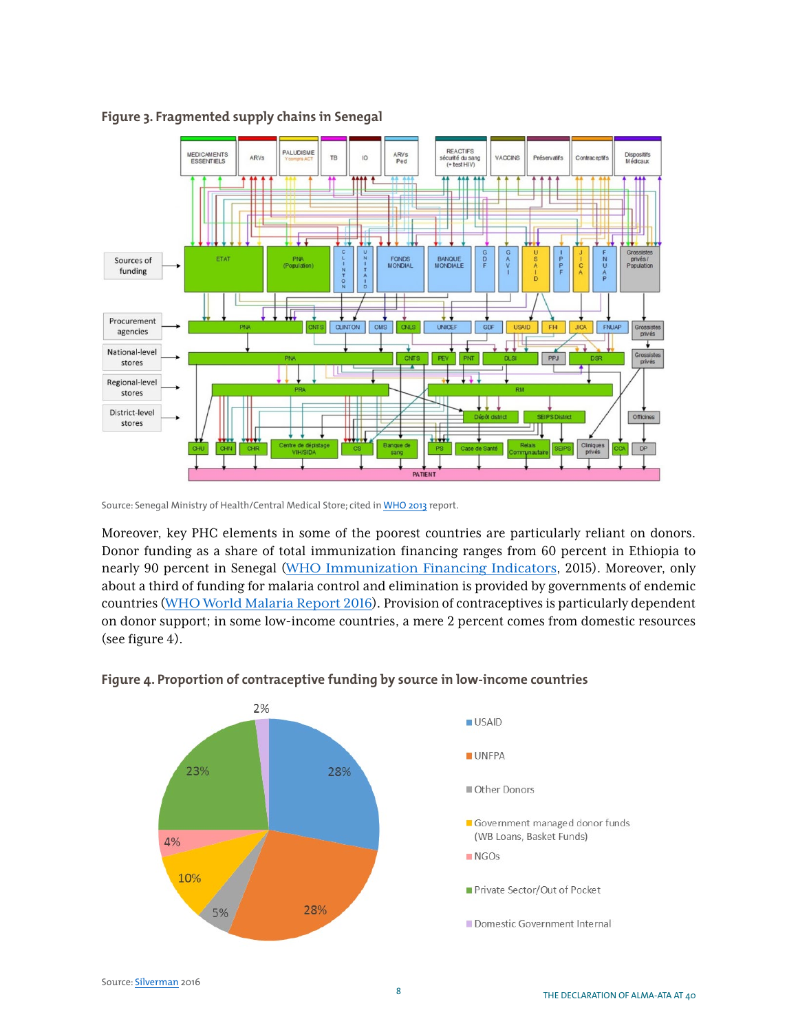

**Figure 3. Fragmented supply chains in Senegal**

Moreover, key PHC elements in some of the poorest countries are particularly reliant on donors. Donor funding as a share of total immunization financing ranges from 60 percent in Ethiopia to nearly 90 percent in Senegal ([WHO Immunization Financing Indicators](http://www.who.int/immunization/programmes_systems/financing/data_indicators/en/), 2015). Moreover, only about a third of funding for malaria control and elimination is provided by governments of endemic countries ([WHO World Malaria Report 2016](http://www.who.int/malaria/publications/world-malaria-report-2016/report/en/)). Provision of contraceptives is particularly dependent on donor support; in some low-income countries, a mere 2 percent comes from domestic resources (see figure 4).



#### **Figure 4. Proportion of contraceptive funding by source in low-income countries**

Source: Senegal Ministry of Health/Central Medical Store; cited in [WHO 2013](http://www.who.int/immunization/programmes_systems/supply_chain/optimize/optimize_senegal_report.pdf) report.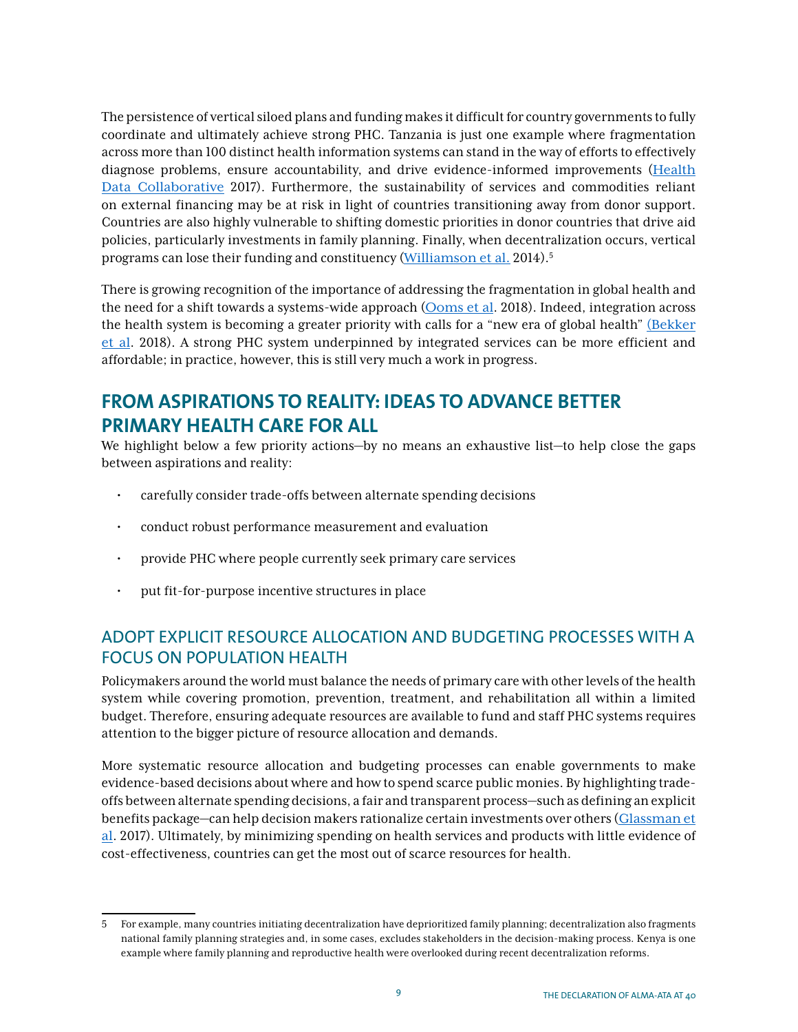The persistence of vertical siloed plans and funding makes it difficult for country governments to fully coordinate and ultimately achieve strong PHC. Tanzania is just one example where fragmentation across more than 100 distinct health information systems can stand in the way of efforts to effectively diagnose problems, ensure accountability, and drive evidence-informed improvements ([Health](https://www.healthdatacollaborative.org/where-we-work/tanzania/)  [Data Collaborative](https://www.healthdatacollaborative.org/where-we-work/tanzania/) 2017). Furthermore, the sustainability of services and commodities reliant on external financing may be at risk in light of countries transitioning away from donor support. Countries are also highly vulnerable to shifting domestic priorities in donor countries that drive aid policies, particularly investments in family planning. Finally, when decentralization occurs, vertical programs can lose their funding and constituency ([Williamson et al.](https://www.healthpolicyproject.com/pubs/445_FPDecentralizationFINAL.pdf) 2014).5

There is growing recognition of the importance of addressing the fragmentation in global health and the need for a shift towards a systems-wide approach ([Ooms et al](https://doi.org/10.1016/S0140-6736(18)32072-5). 2018). Indeed, integration across the health system is becoming a greater priority with calls for a "new era of global health" [\(Bekker](https://doi.org/10.1016/S0140-6736(18)31070-5)  [et al](https://doi.org/10.1016/S0140-6736(18)31070-5). 2018). A strong PHC system underpinned by integrated services can be more efficient and affordable; in practice, however, this is still very much a work in progress.

# **FROM ASPIRATIONS TO REALITY: IDEAS TO ADVANCE BETTER PRIMARY HEALTH CARE FOR ALL**

We highlight below a few priority actions—by no means an exhaustive list—to help close the gaps between aspirations and reality:

- carefully consider trade-offs between alternate spending decisions
- conduct robust performance measurement and evaluation
- provide PHC where people currently seek primary care services
- put fit-for-purpose incentive structures in place

## ADOPT EXPLICIT RESOURCE ALLOCATION AND BUDGETING PROCESSES WITH A FOCUS ON POPULATION HEALTH

Policymakers around the world must balance the needs of primary care with other levels of the health system while covering promotion, prevention, treatment, and rehabilitation all within a limited budget. Therefore, ensuring adequate resources are available to fund and staff PHC systems requires attention to the bigger picture of resource allocation and demands.

More systematic resource allocation and budgeting processes can enable governments to make evidence-based decisions about where and how to spend scarce public monies. By highlighting tradeoffs between alternate spending decisions, a fair and transparent process—such as defining an explicit benefits package—can help decision makers rationalize certain investments over others ([Glassman et](https://www.cgdev.org/publication/whats-in-whats-out-designing-benefits-universal-health-coverage) [al](https://www.cgdev.org/publication/whats-in-whats-out-designing-benefits-universal-health-coverage). 2017). Ultimately, by minimizing spending on health services and products with little evidence of cost-effectiveness, countries can get the most out of scarce resources for health.

<sup>5</sup> For example, many countries initiating decentralization have deprioritized family planning; decentralization also fragments national family planning strategies and, in some cases, excludes stakeholders in the decision-making process. Kenya is one example where family planning and reproductive health were overlooked during recent decentralization reforms.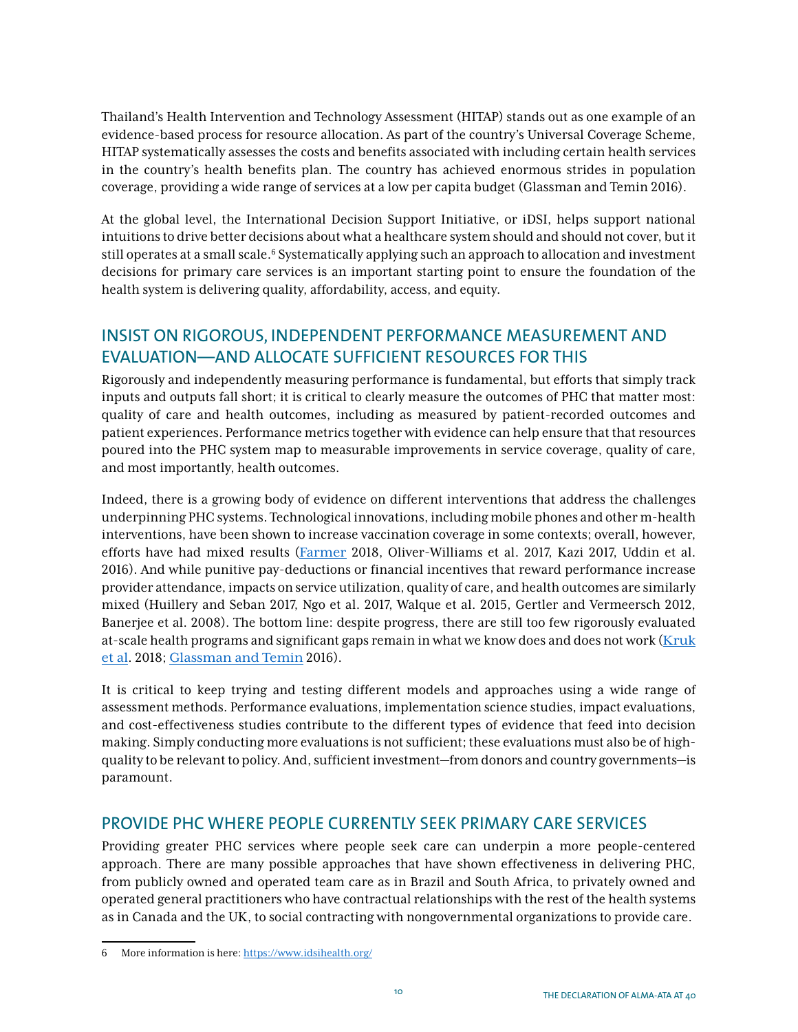Thailand's Health Intervention and Technology Assessment (HITAP) stands out as one example of an evidence-based process for resource allocation. As part of the country's Universal Coverage Scheme, HITAP systematically assesses the costs and benefits associated with including certain health services in the country's health benefits plan. The country has achieved enormous strides in population coverage, providing a wide range of services at a low per capita budget (Glassman and Temin 2016).

At the global level, the International Decision Support Initiative, or iDSI, helps support national intuitions to drive better decisions about what a healthcare system should and should not cover, but it still operates at a small scale.6 Systematically applying such an approach to allocation and investment decisions for primary care services is an important starting point to ensure the foundation of the health system is delivering quality, affordability, access, and equity.

## INSIST ON RIGOROUS, INDEPENDENT PERFORMANCE MEASUREMENT AND EVALUATION—AND ALLOCATE SUFFICIENT RESOURCES FOR THIS

Rigorously and independently measuring performance is fundamental, but efforts that simply track inputs and outputs fall short; it is critical to clearly measure the outcomes of PHC that matter most: quality of care and health outcomes, including as measured by patient-recorded outcomes and patient experiences. Performance metrics together with evidence can help ensure that that resources poured into the PHC system map to measurable improvements in service coverage, quality of care, and most importantly, health outcomes.

Indeed, there is a growing body of evidence on different interventions that address the challenges underpinning PHC systems. Technological innovations, including mobile phones and other m-health interventions, have been shown to increase vaccination coverage in some contexts; overall, however, efforts have had mixed results ([Farmer](https://www.telegraph.co.uk/news/2018/10/01/smartphones-plugged-vaccine-gaps-rural-pakistan/?platform=hootsuite) 2018, [Oliver-Williams et al](https://www.ncbi.nlm.nih.gov/pmc/articles/PMC5647459/). 2017, [Kazi](https://www.thelancet.com/journals/langlo/article/PIIS2214-109X(17)30088-8/fulltext) 2017, [Uddin et al.](https://www.sciencedirect.com/science/article/pii/S0264410X15016667) 2016). And while punitive pay-deductions or financial incentives that reward performance increase provider attendance, impacts on service utilization, quality of care, and health outcomes are similarly mixed [\(Huillery and Seban](https://www.povertyactionlab.org/evaluation/pay-performance-health-sector-evidence-democratic-republic-congo) 2017, [Ngo et al](https://academic.oup.com/heapol/article/32/1/11/2555400). 2017, [Walque et al](https://www.rbfhealth.org/sites/rbf/files/Using%20provider%20performance%20incentives%20to%20increase%20HIV%20testing%20and%20counseling%20services%20in%20Rwanda.pdf). 2015, [Gertler and Vermeersch](https://openknowledge.worldbank.org/handle/10986/9316) 2012, [Banerjee et al.](https://www.povertyactionlab.org/evaluation/incentives-nurses-public-health-care-system-udaipur-india) 2008). The bottom line: despite progress, there are still too few rigorously evaluated at-scale health programs and significant gaps remain in what we know does and does not work ([Kruk](https://doi.org/10.1016/S0140-6736(18)31668-4) [et al](https://doi.org/10.1016/S0140-6736(18)31668-4). 2018; [Glassman and Temin](http://millionssaved.cgdev.org) 2016).

It is critical to keep trying and testing different models and approaches using a wide range of assessment methods. Performance evaluations, implementation science studies, impact evaluations, and cost-effectiveness studies contribute to the different types of evidence that feed into decision making. Simply conducting more evaluations is not sufficient; these evaluations must also be of highquality to be relevant to policy. And, sufficient investment—from donors and country governments—is paramount.

## PROVIDE PHC WHERE PEOPLE CURRENTLY SEEK PRIMARY CARE SERVICES

Providing greater PHC services where people seek care can underpin a more people-centered approach. There are many possible approaches that have shown effectiveness in delivering PHC, from publicly owned and operated team care as in Brazil and South Africa, to privately owned and operated general practitioners who have contractual relationships with the rest of the health systems as in Canada and the UK, to social contracting with nongovernmental organizations to provide care.

<sup>6</sup> More information is here: <https://www.idsihealth.org/>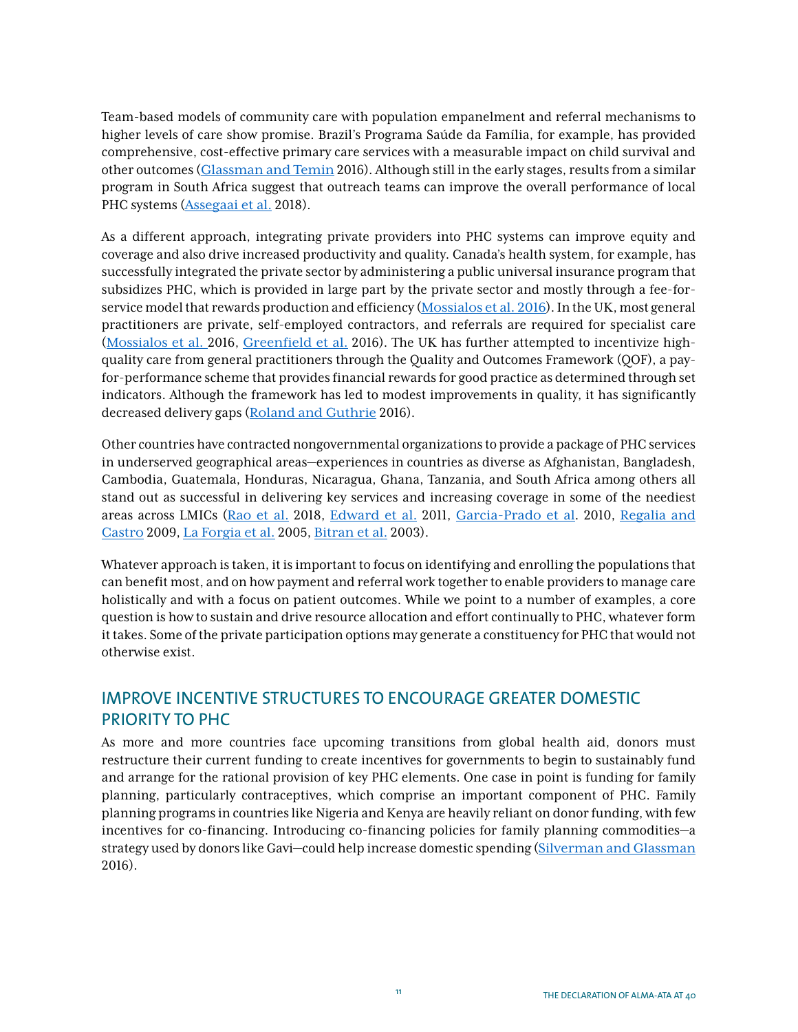Team-based models of community care with population empanelment and referral mechanisms to higher levels of care show promise. Brazil's Programa Saúde da Família, for example, has provided comprehensive, cost-effective primary care services with a measurable impact on child survival and other outcomes ([Glassman and Temin](http://millionssaved.cgdev.org) 2016). Although still in the early stages, results from a similar program in South Africa suggest that outreach teams can improve the overall performance of local PHC systems ([Assegaai et al.](https://www.ncbi.nlm.nih.gov/pubmed/29629685) 2018).

As a different approach, integrating private providers into PHC systems can improve equity and coverage and also drive increased productivity and quality. Canada's health system, for example, has successfully integrated the private sector by administering a public universal insurance program that subsidizes PHC, which is provided in large part by the private sector and mostly through a fee-forservice model that rewards production and efficiency ([Mossialos et al. 2016](http://wwww.issuelab.org/resources/25100/25100.pdf)). In the UK, most general practitioners are private, self-employed contractors, and referrals are required for specialist care ([Mossialos et al.](http://wwww.issuelab.org/resources/25100/25100.pdf) 2016, [Greenfield et al.](https://www.bmj.com/content/354/bmj.i4803.full) 2016). The UK has further attempted to incentivize highquality care from general practitioners through the Quality and Outcomes Framework (QOF), a payfor-performance scheme that provides financial rewards for good practice as determined through set indicators. Although the framework has led to modest improvements in quality, it has significantly decreased delivery gaps ([Roland and Guthrie](https://www.bmj.com/content/354/bmj.i4060.full.print) 2016).

Other countries have contracted nongovernmental organizations to provide a package of PHC services in underserved geographical areas—experiences in countries as diverse as Afghanistan, Bangladesh, Cambodia, Guatemala, Honduras, Nicaragua, Ghana, Tanzania, and South Africa among others all stand out as successful in delivering key services and increasing coverage in some of the neediest areas across LMICs ([Rao et al.](https://equityhealthj.biomedcentral.com/articles/10.1186/s12939-018-0846-5) 2018, [Edward et al.](https://www.ncbi.nlm.nih.gov/pubmed/21814499) 2011, [Garcia-Prado et al](http://documents.worldbank.org/curated/en/785231468034851801/Contracting-and-providing-basic-health-care-services-in-Honduras-a-comparison-of-traditional-and-alternative-service-delivery-models). 2010, [Regalia and](https://www.cgdev.org/doc/books/PBI/11_CGD_Eichler_Levine-Ch11.pdf)  [Castro](https://www.cgdev.org/doc/books/PBI/11_CGD_Eichler_Levine-Ch11.pdf) 2009, La Forgia et al. 2005, [Bitran et al.](http://dspace.itg.be/handle/10390/1493) 2003).

Whatever approach is taken, it is important to focus on identifying and enrolling the populations that can benefit most, and on how payment and referral work together to enable providers to manage care holistically and with a focus on patient outcomes. While we point to a number of examples, a core question is how to sustain and drive resource allocation and effort continually to PHC, whatever form it takes. Some of the private participation options may generate a constituency for PHC that would not otherwise exist.

## IMPROVE INCENTIVE STRUCTURES TO ENCOURAGE GREATER DOMESTIC PRIORITY TO PHC

As more and more countries face upcoming transitions from global health aid, donors must restructure their current funding to create incentives for governments to begin to sustainably fund and arrange for the rational provision of key PHC elements. One case in point is funding for family planning, particularly contraceptives, which comprise an important component of PHC. Family planning programs in countries like Nigeria and Kenya are heavily reliant on donor funding, with few incentives for co-financing. Introducing co-financing policies for family planning commodities—a strategy used by donors like Gavi—could help increase domestic spending ([Silverman and Glassman](https://www.cgdev.org/publication/aligning-2020) 2016).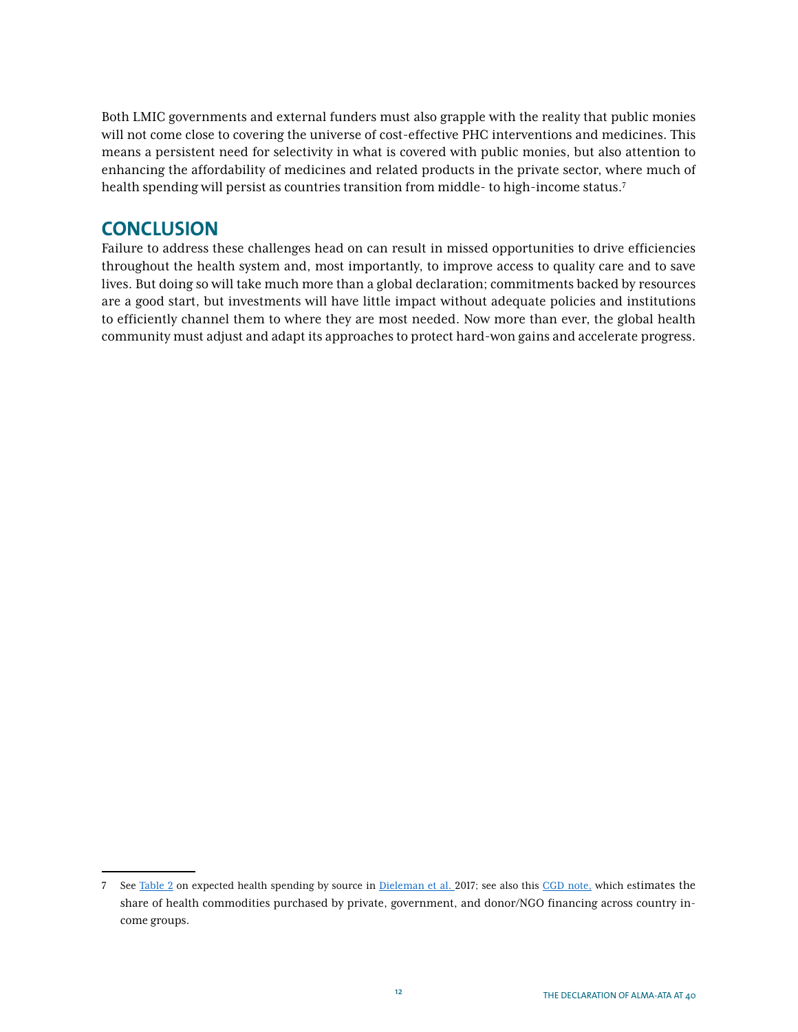Both LMIC governments and external funders must also grapple with the reality that public monies will not come close to covering the universe of cost-effective PHC interventions and medicines. This means a persistent need for selectivity in what is covered with public monies, but also attention to enhancing the affordability of medicines and related products in the private sector, where much of health spending will persist as countries transition from middle- to high-income status.7

## **CONCLUSION**

Failure to address these challenges head on can result in missed opportunities to drive efficiencies throughout the health system and, most importantly, to improve access to quality care and to save lives. But doing so will take much more than a global declaration; commitments backed by resources are a good start, but investments will have little impact without adequate policies and institutions to efficiently channel them to where they are most needed. Now more than ever, the global health community must adjust and adapt its approaches to protect hard-won gains and accelerate progress.

<sup>7</sup> See [Table 2](https://www.thelancet.com/journals/lancet/article/PIIS0140-6736(17)30873-5/fulltext?elsca1=tlxpr) on expected health spending by source in [Dieleman et al.](https://www.thelancet.com/journals/lancet/article/PIIS0140-6736(17)30873-5/fulltext?elsca1=tlxpr) 2017; see also this [CGD note,](https://www.cgdev.org/publication/initial-estimation-size-health-commodity-markets-low-and-middle-income-countries) which estimates the share of health commodities purchased by private, government, and donor/NGO financing across country income groups.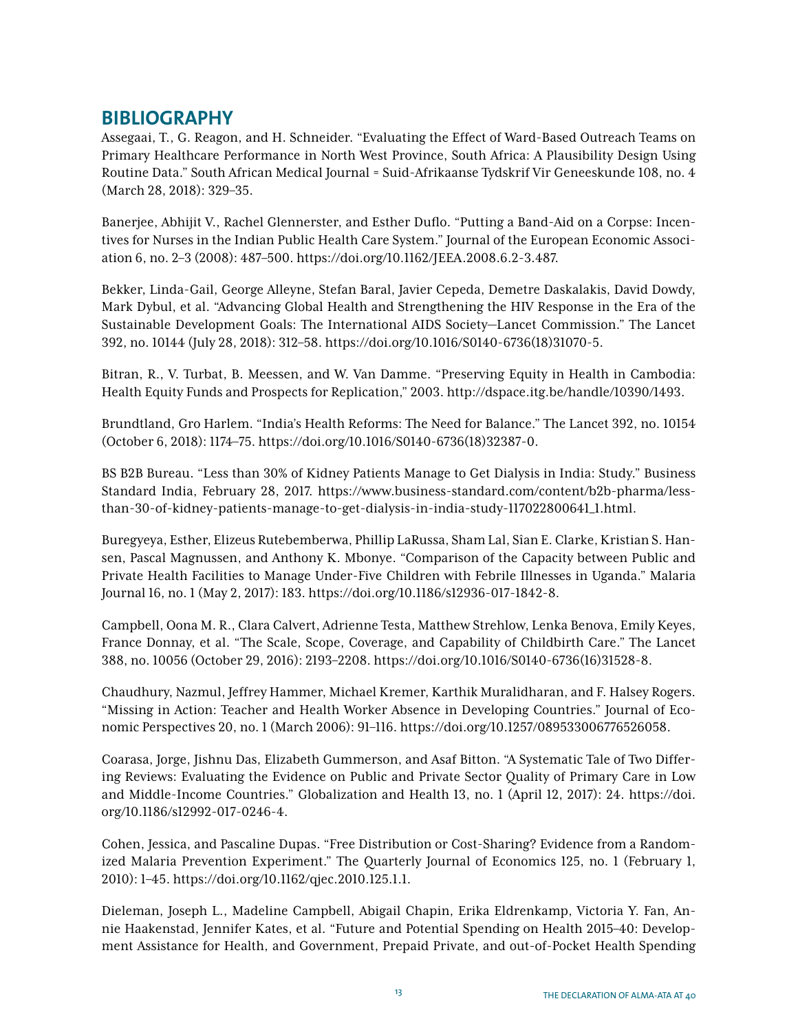## **BIBLIOGRAPHY**

Assegaai, T., G. Reagon, and H. Schneider. "Evaluating the Effect of Ward-Based Outreach Teams on Primary Healthcare Performance in North West Province, South Africa: A Plausibility Design Using Routine Data." South African Medical Journal = Suid-Afrikaanse Tydskrif Vir Geneeskunde 108, no. 4 (March 28, 2018): 329–35.

Banerjee, Abhijit V., Rachel Glennerster, and Esther Duflo. "Putting a Band-Aid on a Corpse: Incentives for Nurses in the Indian Public Health Care System." Journal of the European Economic Association 6, no. 2–3 (2008): 487–500. https://doi.org/10.1162/JEEA.2008.6.2-3.487.

Bekker, Linda-Gail, George Alleyne, Stefan Baral, Javier Cepeda, Demetre Daskalakis, David Dowdy, Mark Dybul, et al. "Advancing Global Health and Strengthening the HIV Response in the Era of the Sustainable Development Goals: The International AIDS Society—Lancet Commission." The Lancet 392, no. 10144 (July 28, 2018): 312–58. https://doi.org/10.1016/S0140-6736(18)31070-5.

Bitran, R., V. Turbat, B. Meessen, and W. Van Damme. "Preserving Equity in Health in Cambodia: Health Equity Funds and Prospects for Replication," 2003. http://dspace.itg.be/handle/10390/1493.

Brundtland, Gro Harlem. "India's Health Reforms: The Need for Balance." The Lancet 392, no. 10154 (October 6, 2018): 1174–75. https://doi.org/10.1016/S0140-6736(18)32387-0.

BS B2B Bureau. "Less than 30% of Kidney Patients Manage to Get Dialysis in India: Study." Business Standard India, February 28, 2017. https://www.business-standard.com/content/b2b-pharma/lessthan-30-of-kidney-patients-manage-to-get-dialysis-in-india-study-117022800641\_1.html.

Buregyeya, Esther, Elizeus Rutebemberwa, Phillip LaRussa, Sham Lal, Sîan E. Clarke, Kristian S. Hansen, Pascal Magnussen, and Anthony K. Mbonye. "Comparison of the Capacity between Public and Private Health Facilities to Manage Under-Five Children with Febrile Illnesses in Uganda." Malaria Journal 16, no. 1 (May 2, 2017): 183. https://doi.org/10.1186/s12936-017-1842-8.

Campbell, Oona M. R., Clara Calvert, Adrienne Testa, Matthew Strehlow, Lenka Benova, Emily Keyes, France Donnay, et al. "The Scale, Scope, Coverage, and Capability of Childbirth Care." The Lancet 388, no. 10056 (October 29, 2016): 2193–2208. https://doi.org/10.1016/S0140-6736(16)31528-8.

Chaudhury, Nazmul, Jeffrey Hammer, Michael Kremer, Karthik Muralidharan, and F. Halsey Rogers. "Missing in Action: Teacher and Health Worker Absence in Developing Countries." Journal of Economic Perspectives 20, no. 1 (March 2006): 91–116. https://doi.org/10.1257/089533006776526058.

Coarasa, Jorge, Jishnu Das, Elizabeth Gummerson, and Asaf Bitton. "A Systematic Tale of Two Differing Reviews: Evaluating the Evidence on Public and Private Sector Quality of Primary Care in Low and Middle-Income Countries." Globalization and Health 13, no. 1 (April 12, 2017): 24. https://doi. org/10.1186/s12992-017-0246-4.

Cohen, Jessica, and Pascaline Dupas. "Free Distribution or Cost-Sharing? Evidence from a Randomized Malaria Prevention Experiment." The Quarterly Journal of Economics 125, no. 1 (February 1, 2010): 1–45. https://doi.org/10.1162/qjec.2010.125.1.1.

Dieleman, Joseph L., Madeline Campbell, Abigail Chapin, Erika Eldrenkamp, Victoria Y. Fan, Annie Haakenstad, Jennifer Kates, et al. "Future and Potential Spending on Health 2015–40: Development Assistance for Health, and Government, Prepaid Private, and out-of-Pocket Health Spending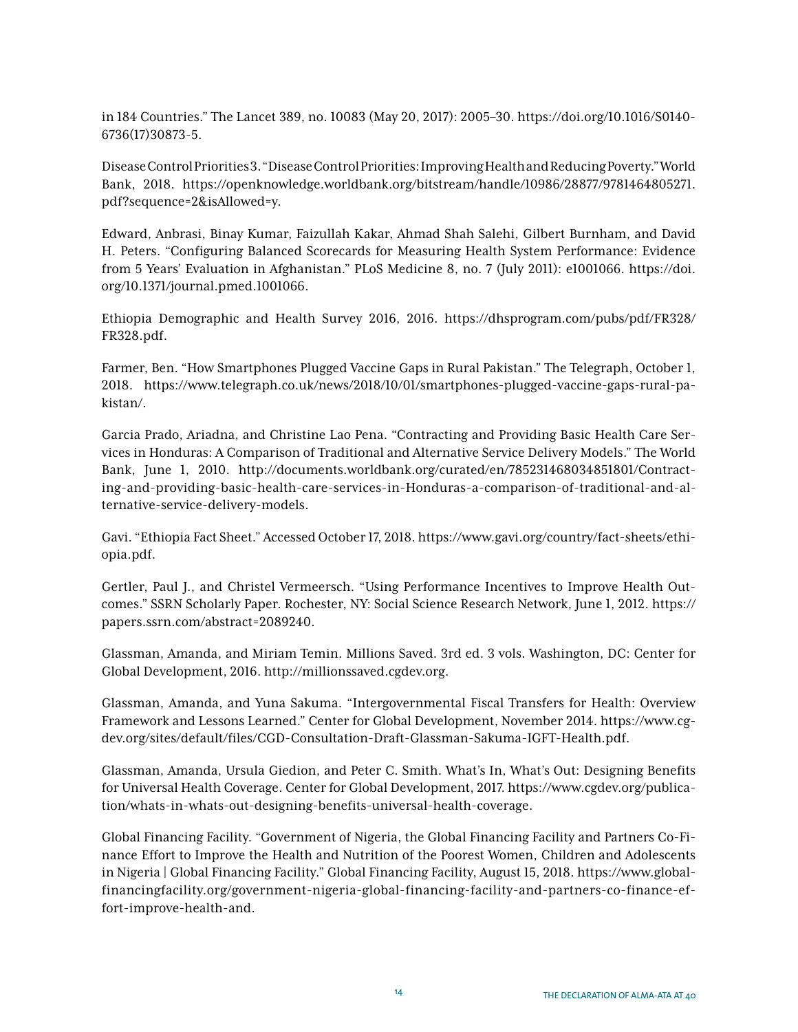in 184 Countries." The Lancet 389, no. 10083 (May 20, 2017): 2005–30. https://doi.org/10.1016/S0140- 6736(17)30873-5.

Disease Control Priorities 3. "Disease Control Priorities: Improving Health and Reducing Poverty." World Bank, 2018. https://openknowledge.worldbank.org/bitstream/handle/10986/28877/9781464805271. pdf?sequence=2&isAllowed=y.

Edward, Anbrasi, Binay Kumar, Faizullah Kakar, Ahmad Shah Salehi, Gilbert Burnham, and David H. Peters. "Configuring Balanced Scorecards for Measuring Health System Performance: Evidence from 5 Years' Evaluation in Afghanistan." PLoS Medicine 8, no. 7 (July 2011): e1001066. https://doi. org/10.1371/journal.pmed.1001066.

Ethiopia Demographic and Health Survey 2016, 2016. https://dhsprogram.com/pubs/pdf/FR328/ FR328.pdf.

Farmer, Ben. "How Smartphones Plugged Vaccine Gaps in Rural Pakistan." The Telegraph, October 1, 2018. https://www.telegraph.co.uk/news/2018/10/01/smartphones-plugged-vaccine-gaps-rural-pakistan/.

Garcia Prado, Ariadna, and Christine Lao Pena. "Contracting and Providing Basic Health Care Services in Honduras: A Comparison of Traditional and Alternative Service Delivery Models." The World Bank, June 1, 2010. http://documents.worldbank.org/curated/en/785231468034851801/Contracting-and-providing-basic-health-care-services-in-Honduras-a-comparison-of-traditional-and-alternative-service-delivery-models.

Gavi. "Ethiopia Fact Sheet." Accessed October 17, 2018. https://www.gavi.org/country/fact-sheets/ethiopia.pdf.

Gertler, Paul J., and Christel Vermeersch. "Using Performance Incentives to Improve Health Outcomes." SSRN Scholarly Paper. Rochester, NY: Social Science Research Network, June 1, 2012. https:// papers.ssrn.com/abstract=2089240.

Glassman, Amanda, and Miriam Temin. Millions Saved. 3rd ed. 3 vols. Washington, DC: Center for Global Development, 2016. http://millionssaved.cgdev.org.

Glassman, Amanda, and Yuna Sakuma. "Intergovernmental Fiscal Transfers for Health: Overview Framework and Lessons Learned." Center for Global Development, November 2014. https://www.cgdev.org/sites/default/files/CGD-Consultation-Draft-Glassman-Sakuma-IGFT-Health.pdf.

Glassman, Amanda, Ursula Giedion, and Peter C. Smith. What's In, What's Out: Designing Benefits for Universal Health Coverage. Center for Global Development, 2017. https://www.cgdev.org/publication/whats-in-whats-out-designing-benefits-universal-health-coverage.

Global Financing Facility. "Government of Nigeria, the Global Financing Facility and Partners Co-Finance Effort to Improve the Health and Nutrition of the Poorest Women, Children and Adolescents in Nigeria | Global Financing Facility." Global Financing Facility, August 15, 2018. https://www.globalfinancingfacility.org/government-nigeria-global-financing-facility-and-partners-co-finance-effort-improve-health-and.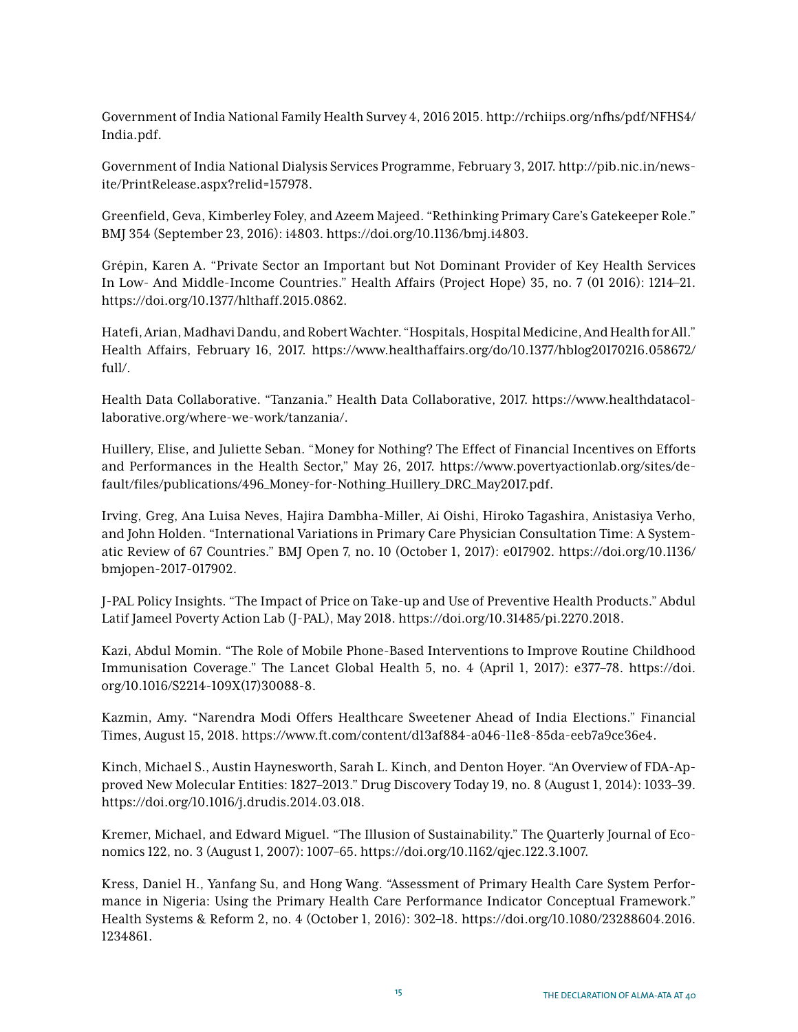Government of India National Family Health Survey 4, 2016 2015. http://rchiips.org/nfhs/pdf/NFHS4/ India.pdf.

Government of India National Dialysis Services Programme, February 3, 2017. http://pib.nic.in/newsite/PrintRelease.aspx?relid=157978.

Greenfield, Geva, Kimberley Foley, and Azeem Majeed. "Rethinking Primary Care's Gatekeeper Role." BMJ 354 (September 23, 2016): i4803. https://doi.org/10.1136/bmj.i4803.

Grépin, Karen A. "Private Sector an Important but Not Dominant Provider of Key Health Services In Low- And Middle-Income Countries." Health Affairs (Project Hope) 35, no. 7 (01 2016): 1214–21. https://doi.org/10.1377/hlthaff.2015.0862.

Hatefi, Arian, Madhavi Dandu, and Robert Wachter. "Hospitals, Hospital Medicine, And Health for All." Health Affairs, February 16, 2017. https://www.healthaffairs.org/do/10.1377/hblog20170216.058672/ full/.

Health Data Collaborative. "Tanzania." Health Data Collaborative, 2017. https://www.healthdatacollaborative.org/where-we-work/tanzania/.

Huillery, Elise, and Juliette Seban. "Money for Nothing? The Effect of Financial Incentives on Efforts and Performances in the Health Sector," May 26, 2017. https://www.povertyactionlab.org/sites/default/files/publications/496\_Money-for-Nothing\_Huillery\_DRC\_May2017.pdf.

Irving, Greg, Ana Luisa Neves, Hajira Dambha-Miller, Ai Oishi, Hiroko Tagashira, Anistasiya Verho, and John Holden. "International Variations in Primary Care Physician Consultation Time: A Systematic Review of 67 Countries." BMJ Open 7, no. 10 (October 1, 2017): e017902. https://doi.org/10.1136/ bmjopen-2017-017902.

J-PAL Policy Insights. "The Impact of Price on Take-up and Use of Preventive Health Products." Abdul Latif Jameel Poverty Action Lab (J-PAL), May 2018. https://doi.org/10.31485/pi.2270.2018.

Kazi, Abdul Momin. "The Role of Mobile Phone-Based Interventions to Improve Routine Childhood Immunisation Coverage." The Lancet Global Health 5, no. 4 (April 1, 2017): e377–78. https://doi. org/10.1016/S2214-109X(17)30088-8.

Kazmin, Amy. "Narendra Modi Offers Healthcare Sweetener Ahead of India Elections." Financial Times, August 15, 2018. https://www.ft.com/content/d13af884-a046-11e8-85da-eeb7a9ce36e4.

Kinch, Michael S., Austin Haynesworth, Sarah L. Kinch, and Denton Hoyer. "An Overview of FDA-Approved New Molecular Entities: 1827–2013." Drug Discovery Today 19, no. 8 (August 1, 2014): 1033–39. https://doi.org/10.1016/j.drudis.2014.03.018.

Kremer, Michael, and Edward Miguel. "The Illusion of Sustainability." The Quarterly Journal of Economics 122, no. 3 (August 1, 2007): 1007–65. https://doi.org/10.1162/qjec.122.3.1007.

Kress, Daniel H., Yanfang Su, and Hong Wang. "Assessment of Primary Health Care System Performance in Nigeria: Using the Primary Health Care Performance Indicator Conceptual Framework." Health Systems & Reform 2, no. 4 (October 1, 2016): 302–18. https://doi.org/10.1080/23288604.2016. 1234861.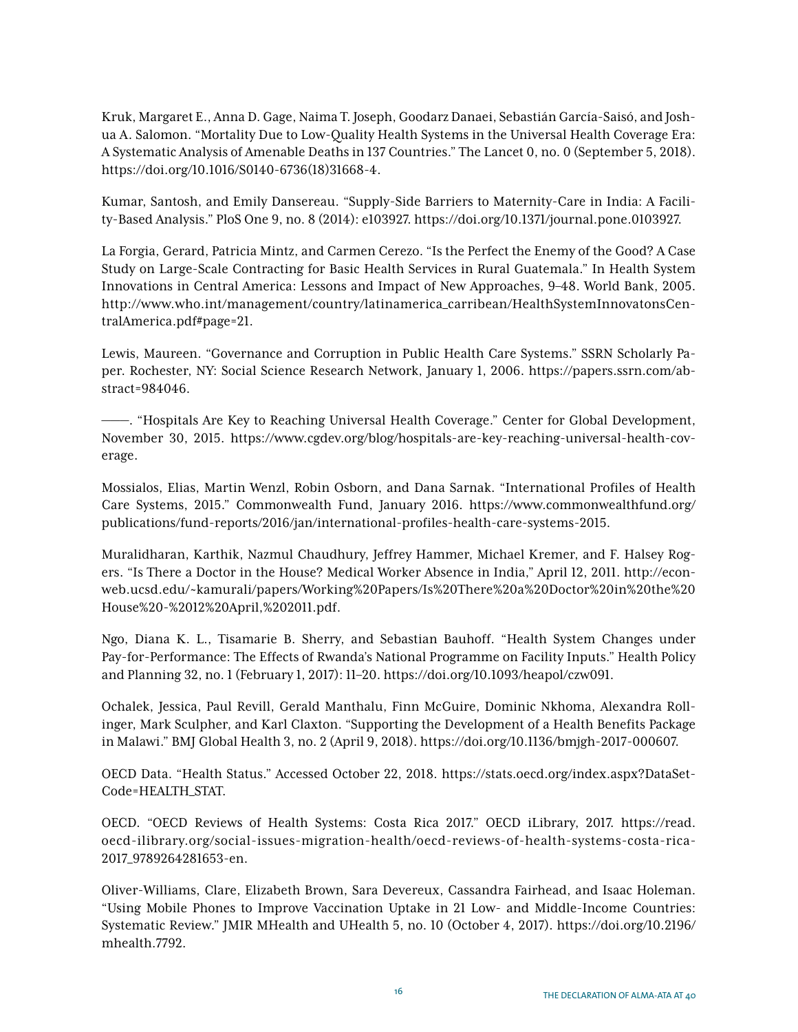Kruk, Margaret E., Anna D. Gage, Naima T. Joseph, Goodarz Danaei, Sebastián García-Saisó, and Joshua A. Salomon. "Mortality Due to Low-Quality Health Systems in the Universal Health Coverage Era: A Systematic Analysis of Amenable Deaths in 137 Countries." The Lancet 0, no. 0 (September 5, 2018). https://doi.org/10.1016/S0140-6736(18)31668-4.

Kumar, Santosh, and Emily Dansereau. "Supply-Side Barriers to Maternity-Care in India: A Facility-Based Analysis." PloS One 9, no. 8 (2014): e103927. https://doi.org/10.1371/journal.pone.0103927.

La Forgia, Gerard, Patricia Mintz, and Carmen Cerezo. "Is the Perfect the Enemy of the Good? A Case Study on Large-Scale Contracting for Basic Health Services in Rural Guatemala." In Health System Innovations in Central America: Lessons and Impact of New Approaches, 9–48. World Bank, 2005. http://www.who.int/management/country/latinamerica\_carribean/HealthSystemInnovatonsCentralAmerica.pdf#page=21.

Lewis, Maureen. "Governance and Corruption in Public Health Care Systems." SSRN Scholarly Paper. Rochester, NY: Social Science Research Network, January 1, 2006. https://papers.ssrn.com/abstract=984046.

———. "Hospitals Are Key to Reaching Universal Health Coverage." Center for Global Development, November 30, 2015. https://www.cgdev.org/blog/hospitals-are-key-reaching-universal-health-coverage.

Mossialos, Elias, Martin Wenzl, Robin Osborn, and Dana Sarnak. "International Profiles of Health Care Systems, 2015." Commonwealth Fund, January 2016. https://www.commonwealthfund.org/ publications/fund-reports/2016/jan/international-profiles-health-care-systems-2015.

Muralidharan, Karthik, Nazmul Chaudhury, Jeffrey Hammer, Michael Kremer, and F. Halsey Rogers. "Is There a Doctor in the House? Medical Worker Absence in India," April 12, 2011. http://econweb.ucsd.edu/~kamurali/papers/Working%20Papers/Is%20There%20a%20Doctor%20in%20the%20 House%20-%2012%20April,%202011.pdf.

Ngo, Diana K. L., Tisamarie B. Sherry, and Sebastian Bauhoff. "Health System Changes under Pay-for-Performance: The Effects of Rwanda's National Programme on Facility Inputs." Health Policy and Planning 32, no. 1 (February 1, 2017): 11–20. https://doi.org/10.1093/heapol/czw091.

Ochalek, Jessica, Paul Revill, Gerald Manthalu, Finn McGuire, Dominic Nkhoma, Alexandra Rollinger, Mark Sculpher, and Karl Claxton. "Supporting the Development of a Health Benefits Package in Malawi." BMJ Global Health 3, no. 2 (April 9, 2018). https://doi.org/10.1136/bmjgh-2017-000607.

OECD Data. "Health Status." Accessed October 22, 2018. https://stats.oecd.org/index.aspx?DataSet-Code=HEALTH\_STAT.

OECD. "OECD Reviews of Health Systems: Costa Rica 2017." OECD iLibrary, 2017. https://read. oecd-ilibrary.org/social-issues-migration-health/oecd-reviews-of-health-systems-costa-rica-2017\_9789264281653-en.

Oliver-Williams, Clare, Elizabeth Brown, Sara Devereux, Cassandra Fairhead, and Isaac Holeman. "Using Mobile Phones to Improve Vaccination Uptake in 21 Low- and Middle-Income Countries: Systematic Review." JMIR MHealth and UHealth 5, no. 10 (October 4, 2017). https://doi.org/10.2196/ mhealth.7792.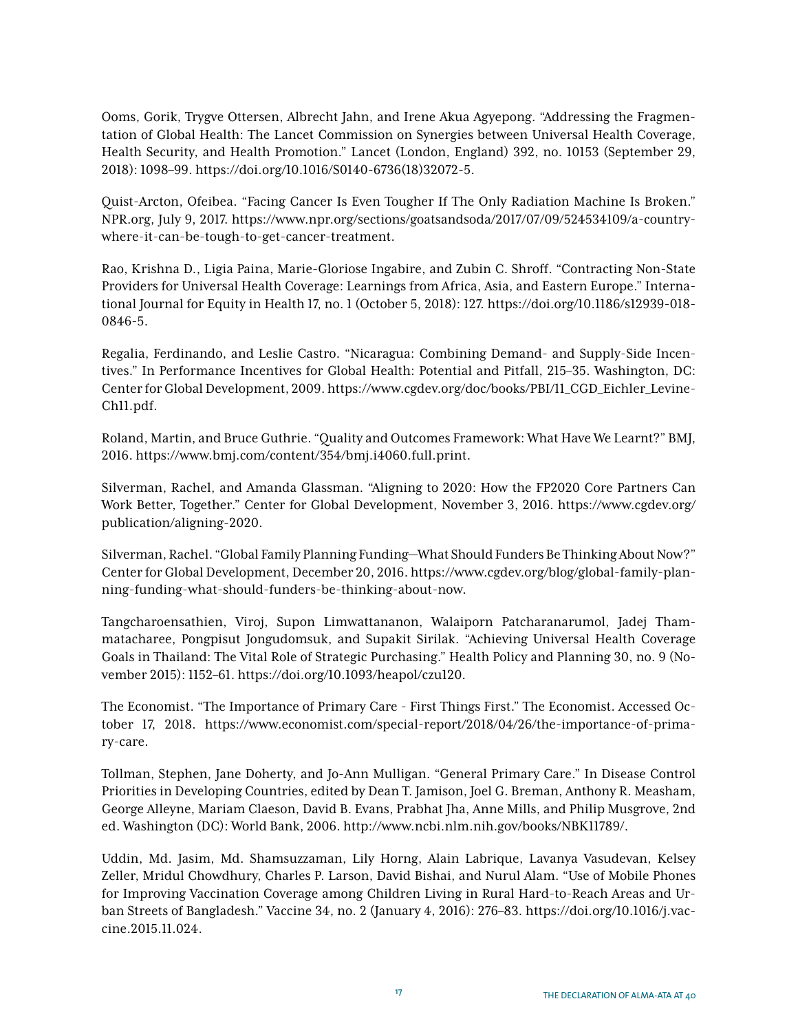Ooms, Gorik, Trygve Ottersen, Albrecht Jahn, and Irene Akua Agyepong. "Addressing the Fragmentation of Global Health: The Lancet Commission on Synergies between Universal Health Coverage, Health Security, and Health Promotion." Lancet (London, England) 392, no. 10153 (September 29, 2018): 1098–99. https://doi.org/10.1016/S0140-6736(18)32072-5.

Quist-Arcton, Ofeibea. "Facing Cancer Is Even Tougher If The Only Radiation Machine Is Broken." NPR.org, July 9, 2017. https://www.npr.org/sections/goatsandsoda/2017/07/09/524534109/a-countrywhere-it-can-be-tough-to-get-cancer-treatment.

Rao, Krishna D., Ligia Paina, Marie-Gloriose Ingabire, and Zubin C. Shroff. "Contracting Non-State Providers for Universal Health Coverage: Learnings from Africa, Asia, and Eastern Europe." International Journal for Equity in Health 17, no. 1 (October 5, 2018): 127. https://doi.org/10.1186/s12939-018- 0846-5.

Regalia, Ferdinando, and Leslie Castro. "Nicaragua: Combining Demand- and Supply-Side Incentives." In Performance Incentives for Global Health: Potential and Pitfall, 215–35. Washington, DC: Center for Global Development, 2009. https://www.cgdev.org/doc/books/PBI/11\_CGD\_Eichler\_Levine-Ch11.pdf.

Roland, Martin, and Bruce Guthrie. "Quality and Outcomes Framework: What Have We Learnt?" BMJ, 2016. https://www.bmj.com/content/354/bmj.i4060.full.print.

Silverman, Rachel, and Amanda Glassman. "Aligning to 2020: How the FP2020 Core Partners Can Work Better, Together." Center for Global Development, November 3, 2016. https://www.cgdev.org/ publication/aligning-2020.

Silverman, Rachel. "Global Family Planning Funding—What Should Funders Be Thinking About Now?" Center for Global Development, December 20, 2016. https://www.cgdev.org/blog/global-family-planning-funding-what-should-funders-be-thinking-about-now.

Tangcharoensathien, Viroj, Supon Limwattananon, Walaiporn Patcharanarumol, Jadej Thammatacharee, Pongpisut Jongudomsuk, and Supakit Sirilak. "Achieving Universal Health Coverage Goals in Thailand: The Vital Role of Strategic Purchasing." Health Policy and Planning 30, no. 9 (November 2015): 1152–61. https://doi.org/10.1093/heapol/czu120.

The Economist. "The Importance of Primary Care - First Things First." The Economist. Accessed October 17, 2018. https://www.economist.com/special-report/2018/04/26/the-importance-of-primary-care.

Tollman, Stephen, Jane Doherty, and Jo-Ann Mulligan. "General Primary Care." In Disease Control Priorities in Developing Countries, edited by Dean T. Jamison, Joel G. Breman, Anthony R. Measham, George Alleyne, Mariam Claeson, David B. Evans, Prabhat Jha, Anne Mills, and Philip Musgrove, 2nd ed. Washington (DC): World Bank, 2006. http://www.ncbi.nlm.nih.gov/books/NBK11789/.

Uddin, Md. Jasim, Md. Shamsuzzaman, Lily Horng, Alain Labrique, Lavanya Vasudevan, Kelsey Zeller, Mridul Chowdhury, Charles P. Larson, David Bishai, and Nurul Alam. "Use of Mobile Phones for Improving Vaccination Coverage among Children Living in Rural Hard-to-Reach Areas and Urban Streets of Bangladesh." Vaccine 34, no. 2 (January 4, 2016): 276–83. https://doi.org/10.1016/j.vaccine.2015.11.024.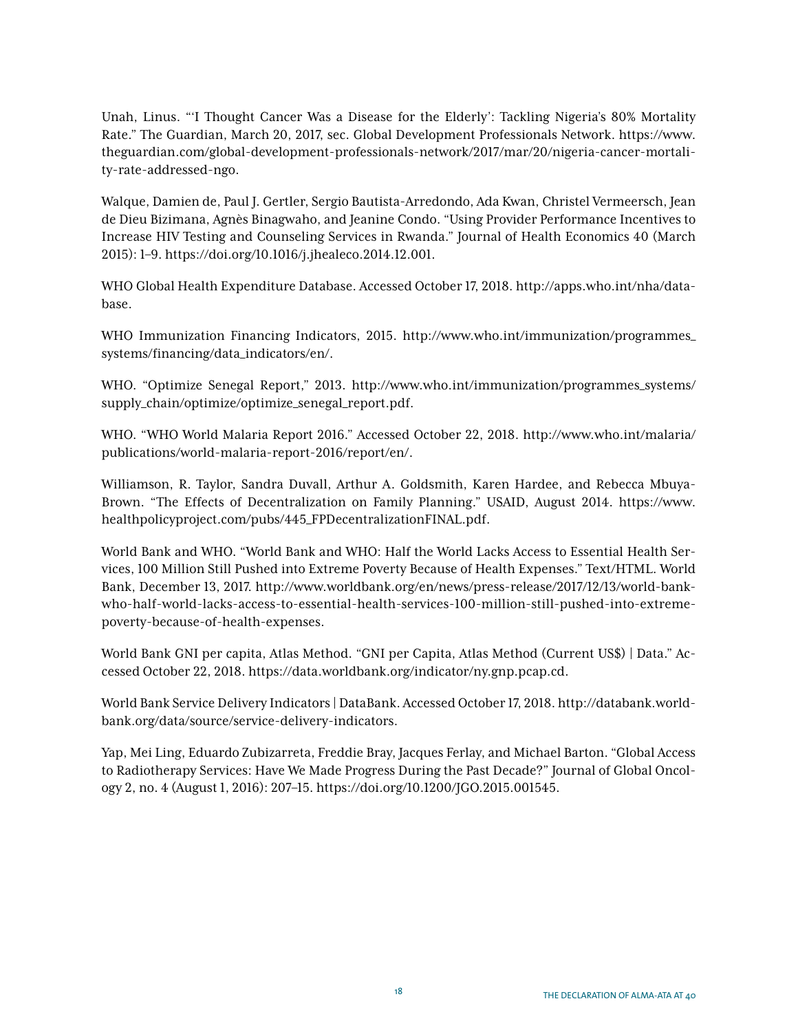Unah, Linus. "'I Thought Cancer Was a Disease for the Elderly': Tackling Nigeria's 80% Mortality Rate." The Guardian, March 20, 2017, sec. Global Development Professionals Network. https://www. theguardian.com/global-development-professionals-network/2017/mar/20/nigeria-cancer-mortality-rate-addressed-ngo.

Walque, Damien de, Paul J. Gertler, Sergio Bautista-Arredondo, Ada Kwan, Christel Vermeersch, Jean de Dieu Bizimana, Agnès Binagwaho, and Jeanine Condo. "Using Provider Performance Incentives to Increase HIV Testing and Counseling Services in Rwanda." Journal of Health Economics 40 (March 2015): 1–9. https://doi.org/10.1016/j.jhealeco.2014.12.001.

WHO Global Health Expenditure Database. Accessed October 17, 2018. http://apps.who.int/nha/database.

WHO Immunization Financing Indicators, 2015. http://www.who.int/immunization/programmes\_ systems/financing/data\_indicators/en/.

WHO. "Optimize Senegal Report," 2013. http://www.who.int/immunization/programmes\_systems/ supply\_chain/optimize/optimize\_senegal\_report.pdf.

WHO. "WHO World Malaria Report 2016." Accessed October 22, 2018. http://www.who.int/malaria/ publications/world-malaria-report-2016/report/en/.

Williamson, R. Taylor, Sandra Duvall, Arthur A. Goldsmith, Karen Hardee, and Rebecca Mbuya-Brown. "The Effects of Decentralization on Family Planning." USAID, August 2014. https://www. healthpolicyproject.com/pubs/445\_FPDecentralizationFINAL.pdf.

World Bank and WHO. "World Bank and WHO: Half the World Lacks Access to Essential Health Services, 100 Million Still Pushed into Extreme Poverty Because of Health Expenses." Text/HTML. World Bank, December 13, 2017. http://www.worldbank.org/en/news/press-release/2017/12/13/world-bankwho-half-world-lacks-access-to-essential-health-services-100-million-still-pushed-into-extremepoverty-because-of-health-expenses.

World Bank GNI per capita, Atlas Method. "GNI per Capita, Atlas Method (Current US\$) | Data." Accessed October 22, 2018. https://data.worldbank.org/indicator/ny.gnp.pcap.cd.

World Bank Service Delivery Indicators | DataBank. Accessed October 17, 2018. http://databank.worldbank.org/data/source/service-delivery-indicators.

Yap, Mei Ling, Eduardo Zubizarreta, Freddie Bray, Jacques Ferlay, and Michael Barton. "Global Access to Radiotherapy Services: Have We Made Progress During the Past Decade?" Journal of Global Oncology 2, no. 4 (August 1, 2016): 207–15. https://doi.org/10.1200/JGO.2015.001545.